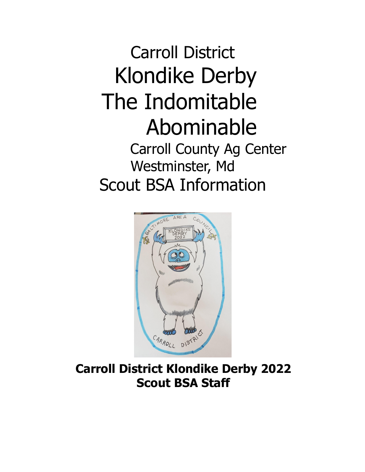# Carroll District Klondike Derby The Indomitable Abominable Carroll County Ag Center Westminster, Md Scout BSA Information



**Carroll District Klondike Derby 2022 Scout BSA Staff**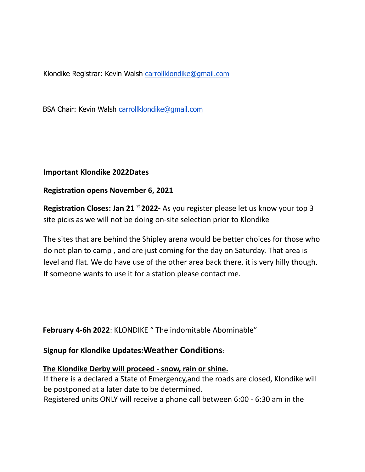Klondike Registrar: Kevin Walsh [carrollklondike@gmail.com](mailto:carrollklondike@gmail.com)

BSA Chair: Kevin Walsh [carrollklondike@gmail.com](mailto:Walshcarrollklondike@gmail.com)

### **Important Klondike 2022Dates**

### **Registration opens November 6, 2021**

**Registration Closes: Jan 21 st 2022-** As you register please let us know your top 3 site picks as we will not be doing on-site selection prior to Klondike

The sites that are behind the Shipley arena would be better choices for those who do not plan to camp , and are just coming for the day on Saturday. That area is level and flat. We do have use of the other area back there, it is very hilly though. If someone wants to use it for a station please contact me.

**February 4-6h 2022**: KLONDIKE " The indomitable Abominable"

## **Signup for Klondike Updates:Weather Conditions**:

### **The Klondike Derby will proceed - snow, rain or shine.**

If there is a declared a State of Emergency,and the roads are closed, Klondike will be postponed at a later date to be determined.

Registered units ONLY will receive a phone call between 6:00 - 6:30 am in the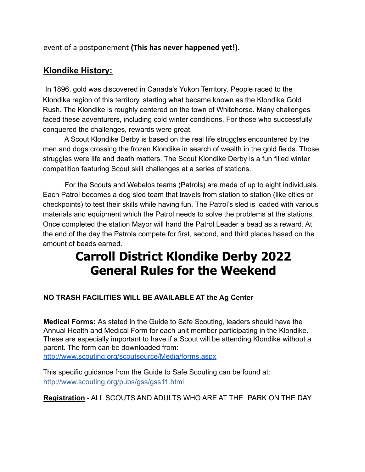event of a postponement **(This has never happened yet!).**

## **Klondike History:**

In 1896, gold was discovered in Canada's Yukon Territory. People raced to the Klondike region of this territory, starting what became known as the Klondike Gold Rush. The Klondike is roughly centered on the town of Whitehorse. Many challenges faced these adventurers, including cold winter conditions. For those who successfully conquered the challenges, rewards were great.

A Scout Klondike Derby is based on the real life struggles encountered by the men and dogs crossing the frozen Klondike in search of wealth in the gold fields. Those struggles were life and death matters. The Scout Klondike Derby is a fun filled winter competition featuring Scout skill challenges at a series of stations.

For the Scouts and Webelos teams (Patrols) are made of up to eight individuals. Each Patrol becomes a dog sled team that travels from station to station (like cities or checkpoints) to test their skills while having fun. The Patrol's sled is loaded with various materials and equipment which the Patrol needs to solve the problems at the stations. Once completed the station Mayor will hand the Patrol Leader a bead as a reward. At the end of the day the Patrols compete for first, second, and third places based on the amount of beads earned.

## **Carroll District Klondike Derby 2022 General Rules for the Weekend**

## **NO TRASH FACILITIES WILL BE AVAILABLE AT the Ag Center**

**Medical Forms:** As stated in the Guide to Safe Scouting, leaders should have the Annual Health and Medical Form for each unit member participating in the Klondike. These are especially important to have if a Scout will be attending Klondike without a parent. The form can be downloaded from: http://www.scouting.org/scoutsource/Media/forms.aspx

This specific guidance from the Guide to Safe Scouting can be found at: http://www.scouting.org/pubs/gss/gss11.html

**Registration** - ALL SCOUTS AND ADULTS WHO ARE AT THE PARK ON THE DAY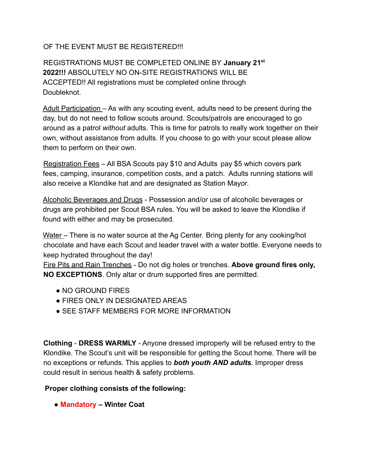### OF THE EVENT MUST BE REGISTERED!!!

REGISTRATIONS MUST BE COMPLETED ONLINE BY **January 21st 2022!!!** ABSOLUTELY NO ON-SITE REGISTRATIONS WILL BE ACCEPTED!! All registrations must be completed online through Doubleknot.

Adult Participation – As with any scouting event, adults need to be present during the day, but do not need to follow scouts around. Scouts/patrols are encouraged to go around as a patrol *without* adults. This is time for patrols to really work together on their own, without assistance from adults. If you choose to go with your scout please allow them to perform on their own.

Registration Fees – All BSA Scouts pay \$10 and Adults pay \$5 which covers park fees, camping, insurance, competition costs, and a patch. Adults running stations will also receive a Klondike hat and are designated as Station Mayor.

Alcoholic Beverages and Drugs - Possession and/or use of alcoholic beverages or drugs are prohibited per Scout BSA rules. You will be asked to leave the Klondike if found with either and may be prosecuted.

Water – There is no water source at the Ag Center. Bring plenty for any cooking/hot chocolate and have each Scout and leader travel with a water bottle. Everyone needs to keep hydrated throughout the day!

Fire Pits and Rain Trenches - Do not dig holes or trenches. **Above ground fires only, NO EXCEPTIONS**. Only altar or drum supported fires are permitted.

- NO GROUND FIRES
- FIRES ONLY IN DESIGNATED AREAS
- **SEE STAFF MEMBERS FOR MORE INFORMATION**

**Clothing** - **DRESS WARMLY** - Anyone dressed improperly will be refused entry to the Klondike. The Scout's unit will be responsible for getting the Scout home. There will be no exceptions or refunds. This applies to *both youth AND adults*. Improper dress could result in serious health & safety problems.

### **Proper clothing consists of the following:**

**● Mandatory – Winter Coat**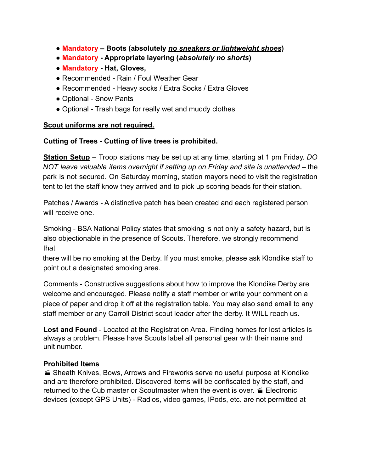- **● Mandatory Boots (absolutely** *no sneakers or lightweight shoes***)**
- **● Mandatory Appropriate layering (***absolutely no shorts***)**
- **● Mandatory Hat, Gloves,**
- Recommended Rain / Foul Weather Gear
- Recommended Heavy socks / Extra Socks / Extra Gloves
- Optional Snow Pants
- Optional Trash bags for really wet and muddy clothes

### **Scout uniforms are not required.**

### **Cutting of Trees - Cutting of live trees is prohibited.**

**Station Setup** – Troop stations may be set up at any time, starting at 1 pm Friday. *DO NOT leave valuable items overnight if setting up on Friday and site is unattended* – the park is not secured. On Saturday morning, station mayors need to visit the registration tent to let the staff know they arrived and to pick up scoring beads for their station.

Patches / Awards - A distinctive patch has been created and each registered person will receive one.

Smoking - BSA National Policy states that smoking is not only a safety hazard, but is also objectionable in the presence of Scouts. Therefore, we strongly recommend that

there will be no smoking at the Derby. If you must smoke, please ask Klondike staff to point out a designated smoking area.

Comments - Constructive suggestions about how to improve the Klondike Derby are welcome and encouraged. Please notify a staff member or write your comment on a piece of paper and drop it off at the registration table. You may also send email to any staff member or any Carroll District scout leader after the derby. It WILL reach us.

**Lost and Found** - Located at the Registration Area. Finding homes for lost articles is always a problem. Please have Scouts label all personal gear with their name and unit number.

### **Prohibited Items**

 Sheath Knives, Bows, Arrows and Fireworks serve no useful purpose at Klondike and are therefore prohibited. Discovered items will be confiscated by the staff, and returned to the Cub master or Scoutmaster when the event is over. **E** Electronic devices (except GPS Units) - Radios, video games, IPods, etc. are not permitted at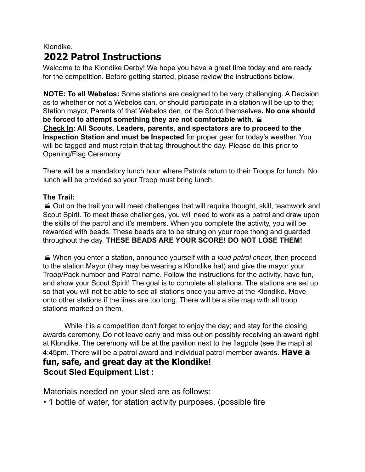## Klondike. **2022 Patrol Instructions**

Welcome to the Klondike Derby! We hope you have a great time today and are ready for the competition. Before getting started, please review the instructions below.

**NOTE: To all Webelos:** Some stations are designed to be very challenging. A Decision as to whether or not a Webelos can, or should participate in a station will be up to the; Station mayor, Parents of that Webelos den, or the Scout themselves**. No one should be forced to attempt something they are not comfortable with. Check In: All Scouts, Leaders, parents, and spectators are to proceed to the Inspection Station and must be Inspected** for proper gear for today's weather. You will be tagged and must retain that tag throughout the day. Please do this prior to Opening/Flag Ceremony

There will be a mandatory lunch hour where Patrols return to their Troops for lunch. No lunch will be provided so your Troop must bring lunch.

### **The Trail:**

 Out on the trail you will meet challenges that will require thought, skill, teamwork and Scout Spirit. To meet these challenges, you will need to work as a patrol and draw upon the skills of the patrol and it's members. When you complete the activity, you will be rewarded with beads. These beads are to be strung on your rope thong and guarded throughout the day. **THESE BEADS ARE YOUR SCORE! DO NOT LOSE THEM!**

 When you enter a station, announce yourself with a *loud patrol cheer*, then proceed to the station Mayor (they may be wearing a Klondike hat) and give the mayor your Troop/Pack number and Patrol name. Follow the instructions for the activity, have fun, and show your Scout Spirit! The goal is to complete all stations. The stations are set up so that you will not be able to see all stations once you arrive at the Klondike. Move onto other stations if the lines are too long. There will be a site map with all troop stations marked on them.

While it is a competition don't forget to enjoy the day; and stay for the closing awards ceremony. Do not leave early and miss out on possibly receiving an award right at Klondike. The ceremony will be at the pavilion next to the flagpole (see the map) at 4:45pm. There will be a patrol award and individual patrol member awards. **Have a fun, safe, and great day at the Klondike! Scout Sled Equipment List :**

Materials needed on your sled are as follows:

• 1 bottle of water, for station activity purposes. (possible fire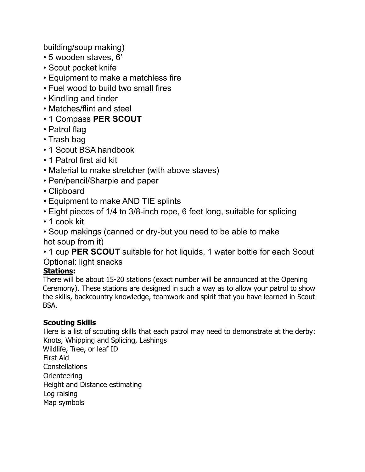building/soup making)

- 5 wooden staves, 6'
- Scout pocket knife
- Equipment to make a matchless fire
- Fuel wood to build two small fires
- Kindling and tinder
- Matches/flint and steel
- 1 Compass **PER SCOUT**
- Patrol flag
- Trash bag
- 1 Scout BSA handbook
- 1 Patrol first aid kit
- Material to make stretcher (with above staves)
- Pen/pencil/Sharpie and paper
- Clipboard
- Equipment to make AND TIE splints
- Eight pieces of 1/4 to 3/8-inch rope, 6 feet long, suitable for splicing
- 1 cook kit
- Soup makings (canned or dry-but you need to be able to make hot soup from it)
- 1 cup **PER SCOUT** suitable for hot liquids, 1 water bottle for each Scout Optional: light snacks

## **Stations:**

There will be about 15-20 stations (exact number will be announced at the Opening Ceremony). These stations are designed in such a way as to allow your patrol to show the skills, backcountry knowledge, teamwork and spirit that you have learned in Scout BSA.

## **Scouting Skills**

Here is a list of scouting skills that each patrol may need to demonstrate at the derby: Knots, Whipping and Splicing, Lashings Wildlife, Tree, or leaf ID First Aid **Constellations Orienteering** Height and Distance estimating Log raising Map symbols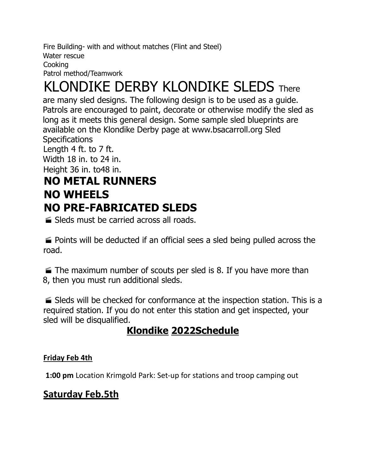Fire Building- with and without matches (Flint and Steel) Water rescue Cooking Patrol method/Teamwork

## KLONDIKE DERBY KLONDIKE SLEDS There

are many sled designs. The following design is to be used as a guide. Patrols are encouraged to paint, decorate or otherwise modify the sled as long as it meets this general design. Some sample sled blueprints are available on the Klondike Derby page at www.bsacarroll.org Sled **Specifications** 

Length 4 ft. to 7 ft. Width 18 in. to 24 in.

Height 36 in. to48 in.

## **NO METAL RUNNERS NO WHEELS NO PRE-FABRICATED SLEDS**

Sleds must be carried across all roads.

**Points will be deducted if an official sees a sled being pulled across the** road.

 $\blacktriangleright$  The maximum number of scouts per sled is 8. If you have more than 8, then you must run additional sleds.

 Sleds will be checked for conformance at the inspection station. This is a required station. If you do not enter this station and get inspected, your sled will be disqualified.

## **Klondike 2022Schedule**

## **Friday Feb 4th**

**1:00 pm** Location Krimgold Park: Set-up for stations and troop camping out

## **Saturday Feb.5th**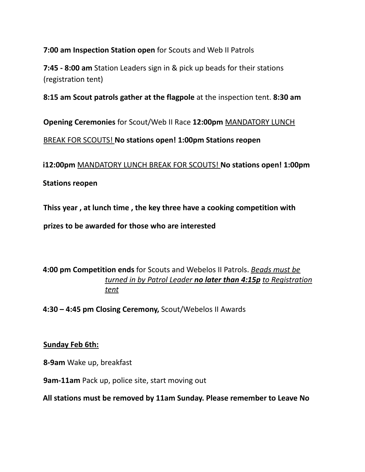**7:00 am Inspection Station open** for Scouts and Web II Patrols

**7:45 - 8:00 am** Station Leaders sign in & pick up beads for their stations (registration tent)

**8:15 am Scout patrols gather at the flagpole** at the inspection tent. **8:30 am**

**Opening Ceremonies** for Scout/Web II Race **12:00pm** MANDATORY LUNCH

BREAK FOR SCOUTS! **No stations open! 1:00pm Stations reopen**

**i12:00pm** MANDATORY LUNCH BREAK FOR SCOUTS! **No stations open! 1:00pm**

## **Stations reopen**

**Thiss year , at lunch time , the key three have a cooking competition with**

**prizes to be awarded for those who are interested**

**4:00 pm Competition ends** for Scouts and Webelos II Patrols. *Beads must be turned in by Patrol Leader no later than 4:15p to Registration tent*

**4:30 – 4:45 pm Closing Ceremony,** Scout/Webelos II Awards

## **Sunday Feb 6th:**

**8-9am** Wake up, breakfast

**9am-11am** Pack up, police site, start moving out

**All stations must be removed by 11am Sunday. Please remember to Leave No**